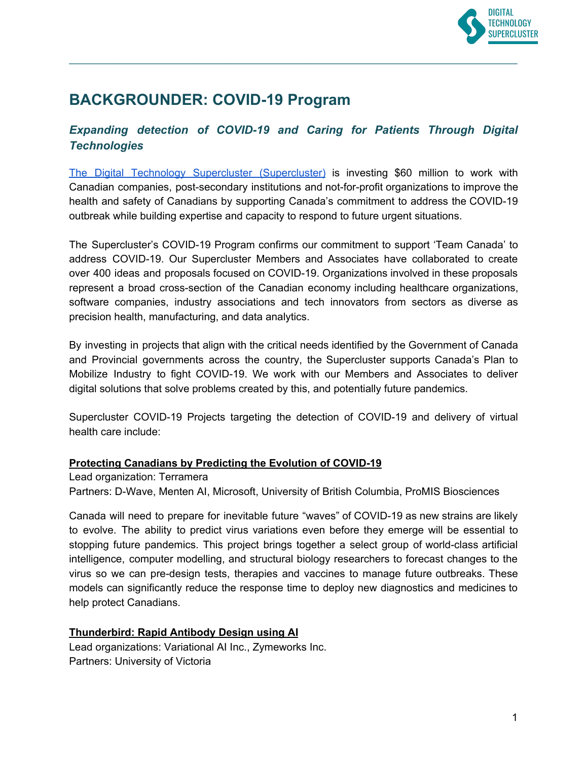

# **BACKGROUNDER: COVID-19 Program**

# *Expanding detection of COVID-19 and Caring for Patients Through Digital Technologies*

**\_\_\_\_\_\_\_\_\_\_\_\_\_\_\_\_\_\_\_\_\_\_\_\_\_\_\_\_\_\_\_\_\_\_\_\_\_\_\_\_\_\_\_\_\_\_\_\_\_\_\_\_\_\_\_\_\_\_\_\_\_\_\_\_\_\_\_\_\_\_\_\_\_\_\_\_\_\_\_\_\_\_\_\_**

The Digital Technology Supercluster [\(Supercluster\)](https://www.digitalsupercluster.ca/) is investing \$60 million to work with Canadian companies, post-secondary institutions and not-for-profit organizations to improve the health and safety of Canadians by supporting Canada's commitment to address the COVID-19 outbreak while building expertise and capacity to respond to future urgent situations.

The Supercluster's COVID-19 Program confirms our commitment to support 'Team Canada' to address COVID-19. Our Supercluster Members and Associates have collaborated to create over 400 ideas and proposals focused on COVID-19. Organizations involved in these proposals represent a broad cross-section of the Canadian economy including healthcare organizations, software companies, industry associations and tech innovators from sectors as diverse as precision health, manufacturing, and data analytics.

By investing in projects that align with the critical needs identified by the Government of Canada and Provincial governments across the country, the Supercluster supports Canada's Plan to Mobilize Industry to fight COVID-19. We work with our Members and Associates to deliver digital solutions that solve problems created by this, and potentially future pandemics.

Supercluster COVID-19 Projects targeting the detection of COVID-19 and delivery of virtual health care include:

#### **Protecting Canadians by Predicting the Evolution of COVID-19**

Lead organization: Terramera

Partners: D-Wave, Menten AI, Microsoft, University of British Columbia, ProMIS Biosciences

Canada will need to prepare for inevitable future "waves" of COVID-19 as new strains are likely to evolve. The ability to predict virus variations even before they emerge will be essential to stopping future pandemics. This project brings together a select group of world-class artificial intelligence, computer modelling, and structural biology researchers to forecast changes to the virus so we can pre-design tests, therapies and vaccines to manage future outbreaks. These models can significantly reduce the response time to deploy new diagnostics and medicines to help protect Canadians.

# **Thunderbird: Rapid Antibody Design using AI**

Lead organizations: Variational AI Inc., Zymeworks Inc. Partners: University of Victoria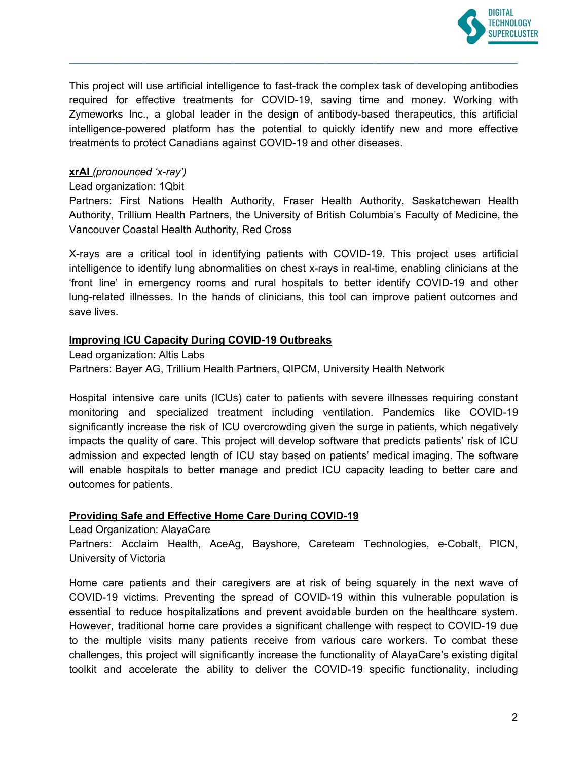

This project will use artificial intelligence to fast-track the complex task of developing antibodies required for effective treatments for COVID-19, saving time and money. Working with Zymeworks Inc., a global leader in the design of antibody-based therapeutics, this artificial intelligence-powered platform has the potential to quickly identify new and more effective treatments to protect Canadians against COVID-19 and other diseases.

**\_\_\_\_\_\_\_\_\_\_\_\_\_\_\_\_\_\_\_\_\_\_\_\_\_\_\_\_\_\_\_\_\_\_\_\_\_\_\_\_\_\_\_\_\_\_\_\_\_\_\_\_\_\_\_\_\_\_\_\_\_\_\_\_\_\_\_\_\_\_\_\_\_\_\_\_\_\_\_\_\_\_\_\_**

## **xrAI** *(pronounced 'x-ray')*

Lead organization: 1Qbit

Partners: First Nations Health Authority, Fraser Health Authority, Saskatchewan Health Authority, Trillium Health Partners, the University of British Columbia's Faculty of Medicine, the Vancouver Coastal Health Authority, Red Cross

X-rays are a critical tool in identifying patients with COVID-19. This project uses artificial intelligence to identify lung abnormalities on chest x-rays in real-time, enabling clinicians at the 'front line' in emergency rooms and rural hospitals to better identify COVID-19 and other lung-related illnesses. In the hands of clinicians, this tool can improve patient outcomes and save lives.

## **Improving ICU Capacity During COVID-19 Outbreaks**

Lead organization: Altis Labs

Partners: Bayer AG, Trillium Health Partners, QIPCM, University Health Network

Hospital intensive care units (ICUs) cater to patients with severe illnesses requiring constant monitoring and specialized treatment including ventilation. Pandemics like COVID-19 significantly increase the risk of ICU overcrowding given the surge in patients, which negatively impacts the quality of care. This project will develop software that predicts patients' risk of ICU admission and expected length of ICU stay based on patients' medical imaging. The software will enable hospitals to better manage and predict ICU capacity leading to better care and outcomes for patients.

#### **Providing Safe and Effective Home Care During COVID-19**

Lead Organization: AlayaCare

Partners: Acclaim Health, AceAg, Bayshore, Careteam Technologies, e-Cobalt, PICN, University of Victoria

Home care patients and their caregivers are at risk of being squarely in the next wave of COVID-19 victims. Preventing the spread of COVID-19 within this vulnerable population is essential to reduce hospitalizations and prevent avoidable burden on the healthcare system. However, traditional home care provides a significant challenge with respect to COVID-19 due to the multiple visits many patients receive from various care workers. To combat these challenges, this project will significantly increase the functionality of AlayaCare's existing digital toolkit and accelerate the ability to deliver the COVID-19 specific functionality, including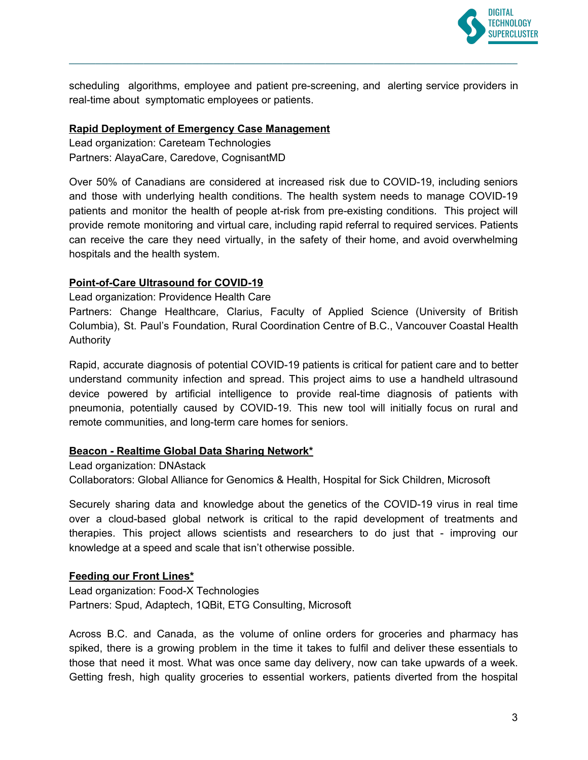

scheduling algorithms, employee and patient pre-screening, and alerting service providers in real-time about symptomatic employees or patients.

**\_\_\_\_\_\_\_\_\_\_\_\_\_\_\_\_\_\_\_\_\_\_\_\_\_\_\_\_\_\_\_\_\_\_\_\_\_\_\_\_\_\_\_\_\_\_\_\_\_\_\_\_\_\_\_\_\_\_\_\_\_\_\_\_\_\_\_\_\_\_\_\_\_\_\_\_\_\_\_\_\_\_\_\_**

# **Rapid Deployment of Emergency Case Management**

Lead organization: Careteam Technologies Partners: AlayaCare, Caredove, CognisantMD

Over 50% of Canadians are considered at increased risk due to COVID-19, including seniors and those with underlying health conditions. The health system needs to manage COVID-19 patients and monitor the health of people at-risk from pre-existing conditions. This project will provide remote monitoring and virtual care, including rapid referral to required services. Patients can receive the care they need virtually, in the safety of their home, and avoid overwhelming hospitals and the health system.

# **Point-of-Care Ultrasound for COVID-19**

Lead organization: Providence Health Care

Partners: Change Healthcare, Clarius, Faculty of Applied Science (University of British Columbia), St. Paul's Foundation, Rural Coordination Centre of B.C., Vancouver Coastal Health Authority

Rapid, accurate diagnosis of potential COVID-19 patients is critical for patient care and to better understand community infection and spread. This project aims to use a handheld ultrasound device powered by artificial intelligence to provide real-time diagnosis of patients with pneumonia, potentially caused by COVID-19. This new tool will initially focus on rural and remote communities, and long-term care homes for seniors.

#### **Beacon - Realtime Global Data Sharing Network\***

Lead organization: DNAstack

Collaborators: Global Alliance for Genomics & Health, Hospital for Sick Children, Microsoft

Securely sharing data and knowledge about the genetics of the COVID-19 virus in real time over a cloud-based global network is critical to the rapid development of treatments and therapies. This project allows scientists and researchers to do just that - improving our knowledge at a speed and scale that isn't otherwise possible.

#### **Feeding our Front Lines\***

Lead organization: Food-X Technologies Partners: Spud, Adaptech, 1QBit, ETG Consulting, Microsoft

Across B.C. and Canada, as the volume of online orders for groceries and pharmacy has spiked, there is a growing problem in the time it takes to fulfil and deliver these essentials to those that need it most. What was once same day delivery, now can take upwards of a week. Getting fresh, high quality groceries to essential workers, patients diverted from the hospital